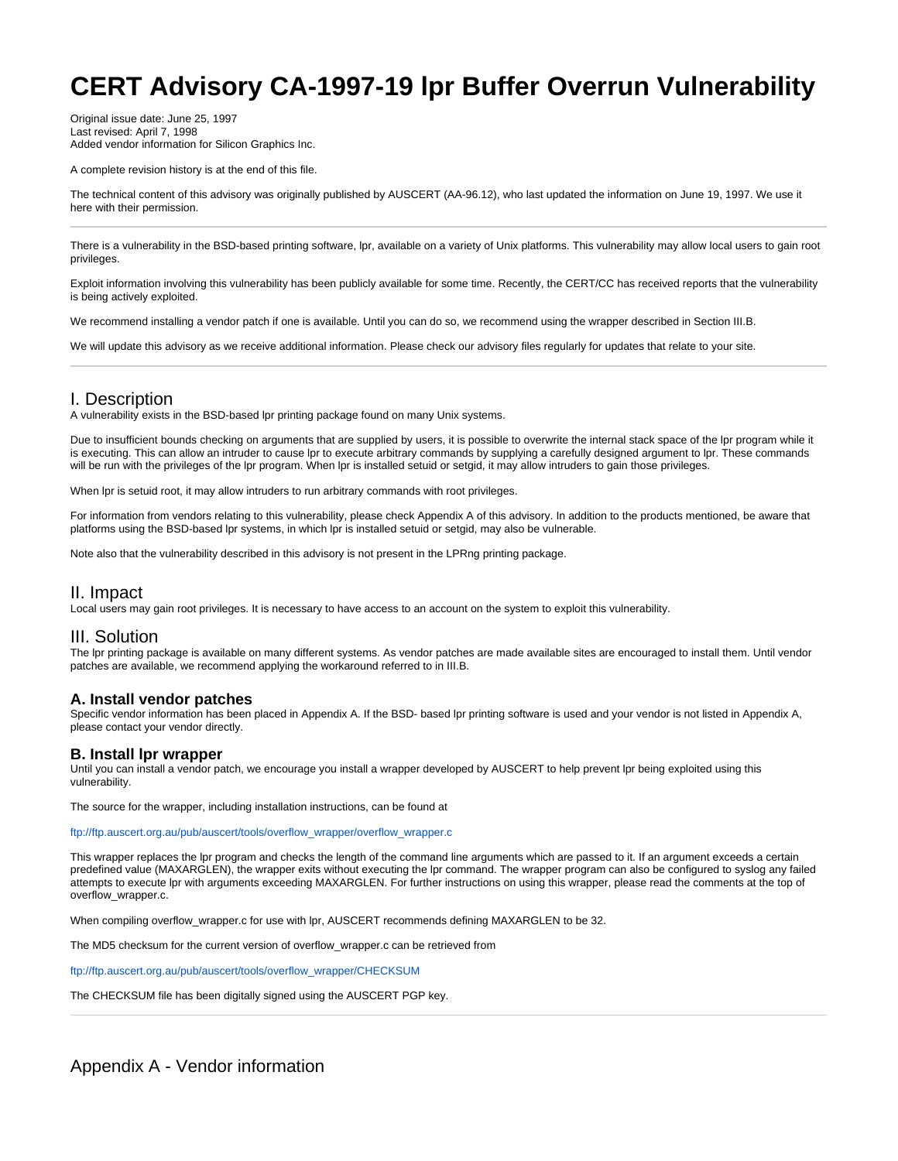# **CERT Advisory CA-1997-19 lpr Buffer Overrun Vulnerability**

Original issue date: June 25, 1997 Last revised: April 7, 1998 Added vendor information for Silicon Graphics Inc.

A complete revision history is at the end of this file.

The technical content of this advisory was originally published by AUSCERT (AA-96.12), who last updated the information on June 19, 1997. We use it here with their permission.

There is a vulnerability in the BSD-based printing software, lpr, available on a variety of Unix platforms. This vulnerability may allow local users to gain root privileges.

Exploit information involving this vulnerability has been publicly available for some time. Recently, the CERT/CC has received reports that the vulnerability is being actively exploited.

We recommend installing a vendor patch if one is available. Until you can do so, we recommend using the wrapper described in Section III.B.

We will update this advisory as we receive additional information. Please check our advisory files regularly for updates that relate to your site.

# I. Description

A vulnerability exists in the BSD-based lpr printing package found on many Unix systems.

Due to insufficient bounds checking on arguments that are supplied by users, it is possible to overwrite the internal stack space of the lpr program while it is executing. This can allow an intruder to cause lpr to execute arbitrary commands by supplying a carefully designed argument to lpr. These commands will be run with the privileges of the lpr program. When lpr is installed setuid or setgid, it may allow intruders to gain those privileges.

When lpr is setuid root, it may allow intruders to run arbitrary commands with root privileges.

For information from vendors relating to this vulnerability, please check Appendix A of this advisory. In addition to the products mentioned, be aware that platforms using the BSD-based lpr systems, in which lpr is installed setuid or setgid, may also be vulnerable.

Note also that the vulnerability described in this advisory is not present in the LPRng printing package.

# II. Impact

Local users may gain root privileges. It is necessary to have access to an account on the system to exploit this vulnerability.

## III. Solution

The lpr printing package is available on many different systems. As vendor patches are made available sites are encouraged to install them. Until vendor patches are available, we recommend applying the workaround referred to in III.B.

#### **A. Install vendor patches**

Specific vendor information has been placed in Appendix A. If the BSD- based lpr printing software is used and your vendor is not listed in Appendix A, please contact your vendor directly.

#### **B. Install lpr wrapper**

Until you can install a vendor patch, we encourage you install a wrapper developed by AUSCERT to help prevent lpr being exploited using this vulnerability.

The source for the wrapper, including installation instructions, can be found at

[ftp://ftp.auscert.org.au/pub/auscert/tools/overflow\\_wrapper/overflow\\_wrapper.c](ftp://ftp.auscert.org.au/pub/auscert/tools/overflow_wrapper/overflow_wrapper.c)

This wrapper replaces the lpr program and checks the length of the command line arguments which are passed to it. If an argument exceeds a certain predefined value (MAXARGLEN), the wrapper exits without executing the lpr command. The wrapper program can also be configured to syslog any failed attempts to execute lpr with arguments exceeding MAXARGLEN. For further instructions on using this wrapper, please read the comments at the top of overflow\_wrapper.c.

When compiling overflow\_wrapper.c for use with lpr, AUSCERT recommends defining MAXARGLEN to be 32.

The MD5 checksum for the current version of overflow\_wrapper.c can be retrieved from

[ftp://ftp.auscert.org.au/pub/auscert/tools/overflow\\_wrapper/CHECKSUM](ftp://ftp.auscert.org.au/pub/auscert/tools/overflow_wrapper/CHECKSUM)

The CHECKSUM file has been digitally signed using the AUSCERT PGP key.

# Appendix A - Vendor information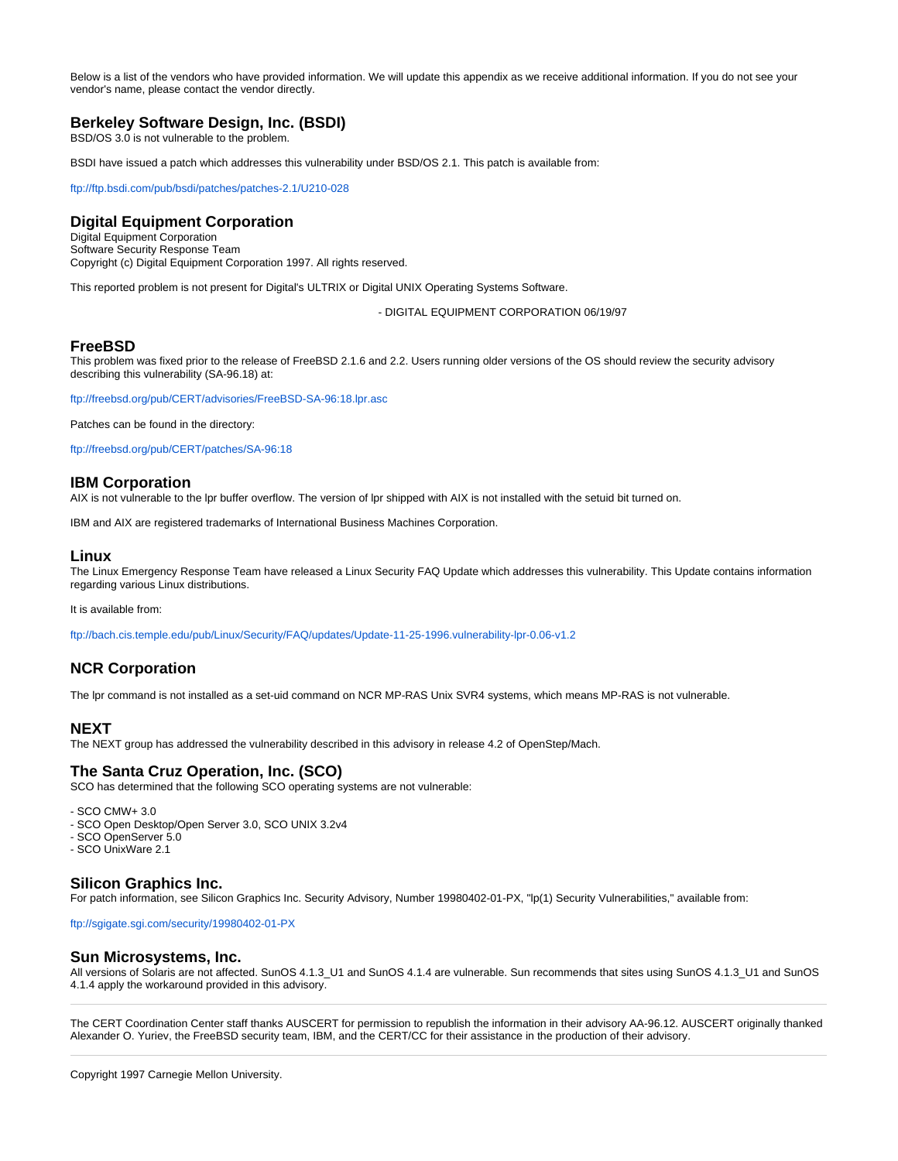Below is a list of the vendors who have provided information. We will update this appendix as we receive additional information. If you do not see your vendor's name, please contact the vendor directly.

## **Berkeley Software Design, Inc. (BSDI)**

BSD/OS 3.0 is not vulnerable to the problem.

BSDI have issued a patch which addresses this vulnerability under BSD/OS 2.1. This patch is available from:

<ftp://ftp.bsdi.com/pub/bsdi/patches/patches-2.1/U210-028>

## **Digital Equipment Corporation**

Digital Equipment Corporation Software Security Response Team Copyright (c) Digital Equipment Corporation 1997. All rights reserved.

This reported problem is not present for Digital's ULTRIX or Digital UNIX Operating Systems Software.

- DIGITAL EQUIPMENT CORPORATION 06/19/97

#### **FreeBSD**

This problem was fixed prior to the release of FreeBSD 2.1.6 and 2.2. Users running older versions of the OS should review the security advisory describing this vulnerability (SA-96.18) at:

<ftp://freebsd.org/pub/CERT/advisories/FreeBSD-SA-96:18.lpr.asc>

Patches can be found in the directory:

<ftp://freebsd.org/pub/CERT/patches/SA-96:18>

#### **IBM Corporation**

AIX is not vulnerable to the lpr buffer overflow. The version of lpr shipped with AIX is not installed with the setuid bit turned on.

IBM and AIX are registered trademarks of International Business Machines Corporation.

#### **Linux**

The Linux Emergency Response Team have released a Linux Security FAQ Update which addresses this vulnerability. This Update contains information regarding various Linux distributions.

It is available from:

<ftp://bach.cis.temple.edu/pub/Linux/Security/FAQ/updates/Update-11-25-1996.vulnerability-lpr-0.06-v1.2>

# **NCR Corporation**

The lpr command is not installed as a set-uid command on NCR MP-RAS Unix SVR4 systems, which means MP-RAS is not vulnerable.

### **NEXT**

The NEXT group has addressed the vulnerability described in this advisory in release 4.2 of OpenStep/Mach.

#### **The Santa Cruz Operation, Inc. (SCO)**

SCO has determined that the following SCO operating systems are not vulnerable:

- SCO CMW+ 3.0
- SCO Open Desktop/Open Server 3.0, SCO UNIX 3.2v4
- SCO OpenServer 5.0
- SCO UnixWare 2.1

## **Silicon Graphics Inc.**

For patch information, see Silicon Graphics Inc. Security Advisory, Number 19980402-01-PX, "lp(1) Security Vulnerabilities," available from:

<ftp://sgigate.sgi.com/security/19980402-01-PX>

#### **Sun Microsystems, Inc.**

All versions of Solaris are not affected. SunOS 4.1.3\_U1 and SunOS 4.1.4 are vulnerable. Sun recommends that sites using SunOS 4.1.3\_U1 and SunOS 4.1.4 apply the workaround provided in this advisory.

The CERT Coordination Center staff thanks AUSCERT for permission to republish the information in their advisory AA-96.12. AUSCERT originally thanked Alexander O. Yuriev, the FreeBSD security team, IBM, and the CERT/CC for their assistance in the production of their advisory.

Copyright 1997 Carnegie Mellon University.